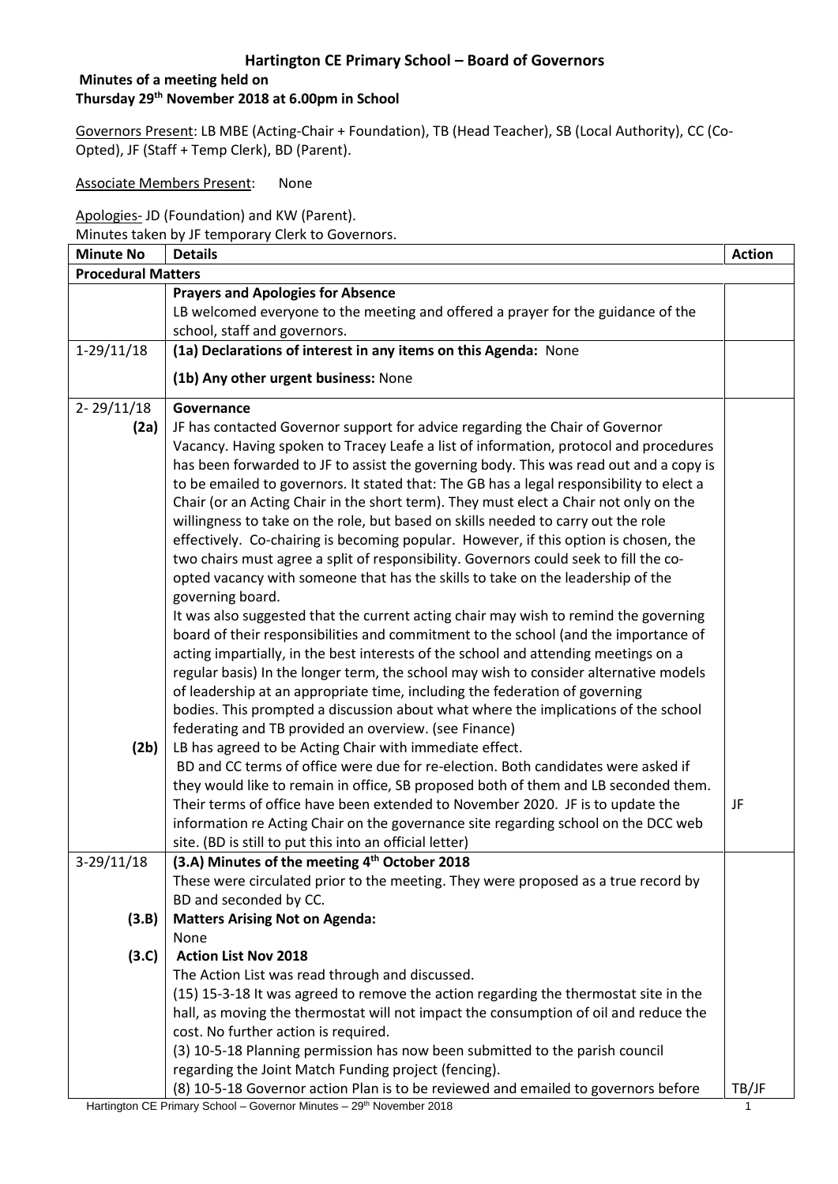#### **Minutes of a meeting held on Thursday 29th November 2018 at 6.00pm in School**

Governors Present: LB MBE (Acting-Chair + Foundation), TB (Head Teacher), SB (Local Authority), CC (Co-Opted), JF (Staff + Temp Clerk), BD (Parent).

Associate Members Present: None

Apologies- JD (Foundation) and KW (Parent).

Minutes taken by JF temporary Clerk to Governors.

| <b>Minute No</b>          | <b>Details</b>                                                                                                                                                              | <b>Action</b> |
|---------------------------|-----------------------------------------------------------------------------------------------------------------------------------------------------------------------------|---------------|
| <b>Procedural Matters</b> |                                                                                                                                                                             |               |
|                           | <b>Prayers and Apologies for Absence</b>                                                                                                                                    |               |
|                           | LB welcomed everyone to the meeting and offered a prayer for the guidance of the                                                                                            |               |
|                           | school, staff and governors.                                                                                                                                                |               |
| $1-29/11/18$              | (1a) Declarations of interest in any items on this Agenda: None                                                                                                             |               |
|                           | (1b) Any other urgent business: None                                                                                                                                        |               |
| $2 - 29/11/18$            | Governance                                                                                                                                                                  |               |
| (2a)                      | JF has contacted Governor support for advice regarding the Chair of Governor                                                                                                |               |
|                           | Vacancy. Having spoken to Tracey Leafe a list of information, protocol and procedures                                                                                       |               |
|                           | has been forwarded to JF to assist the governing body. This was read out and a copy is                                                                                      |               |
|                           | to be emailed to governors. It stated that: The GB has a legal responsibility to elect a                                                                                    |               |
|                           | Chair (or an Acting Chair in the short term). They must elect a Chair not only on the                                                                                       |               |
|                           | willingness to take on the role, but based on skills needed to carry out the role                                                                                           |               |
|                           | effectively. Co-chairing is becoming popular. However, if this option is chosen, the                                                                                        |               |
|                           | two chairs must agree a split of responsibility. Governors could seek to fill the co-                                                                                       |               |
|                           | opted vacancy with someone that has the skills to take on the leadership of the                                                                                             |               |
|                           | governing board.                                                                                                                                                            |               |
|                           | It was also suggested that the current acting chair may wish to remind the governing<br>board of their responsibilities and commitment to the school (and the importance of |               |
|                           | acting impartially, in the best interests of the school and attending meetings on a                                                                                         |               |
|                           | regular basis) In the longer term, the school may wish to consider alternative models                                                                                       |               |
|                           | of leadership at an appropriate time, including the federation of governing                                                                                                 |               |
|                           | bodies. This prompted a discussion about what where the implications of the school                                                                                          |               |
|                           | federating and TB provided an overview. (see Finance)                                                                                                                       |               |
| (2b)                      | LB has agreed to be Acting Chair with immediate effect.                                                                                                                     |               |
|                           | BD and CC terms of office were due for re-election. Both candidates were asked if                                                                                           |               |
|                           | they would like to remain in office, SB proposed both of them and LB seconded them.                                                                                         |               |
|                           | Their terms of office have been extended to November 2020. JF is to update the                                                                                              | JF            |
|                           | information re Acting Chair on the governance site regarding school on the DCC web                                                                                          |               |
|                           | site. (BD is still to put this into an official letter)                                                                                                                     |               |
| $3-29/11/18$              | (3.A) Minutes of the meeting 4 <sup>th</sup> October 2018                                                                                                                   |               |
|                           | These were circulated prior to the meeting. They were proposed as a true record by                                                                                          |               |
|                           | BD and seconded by CC.                                                                                                                                                      |               |
| (3.B)                     | <b>Matters Arising Not on Agenda:</b>                                                                                                                                       |               |
|                           | None                                                                                                                                                                        |               |
| (3.C)                     | <b>Action List Nov 2018</b>                                                                                                                                                 |               |
|                           | The Action List was read through and discussed.                                                                                                                             |               |
|                           | (15) 15-3-18 It was agreed to remove the action regarding the thermostat site in the                                                                                        |               |
|                           | hall, as moving the thermostat will not impact the consumption of oil and reduce the                                                                                        |               |
|                           | cost. No further action is required.                                                                                                                                        |               |
|                           | (3) 10-5-18 Planning permission has now been submitted to the parish council                                                                                                |               |
|                           | regarding the Joint Match Funding project (fencing).                                                                                                                        |               |
|                           | (8) 10-5-18 Governor action Plan is to be reviewed and emailed to governors before                                                                                          | TB/JF         |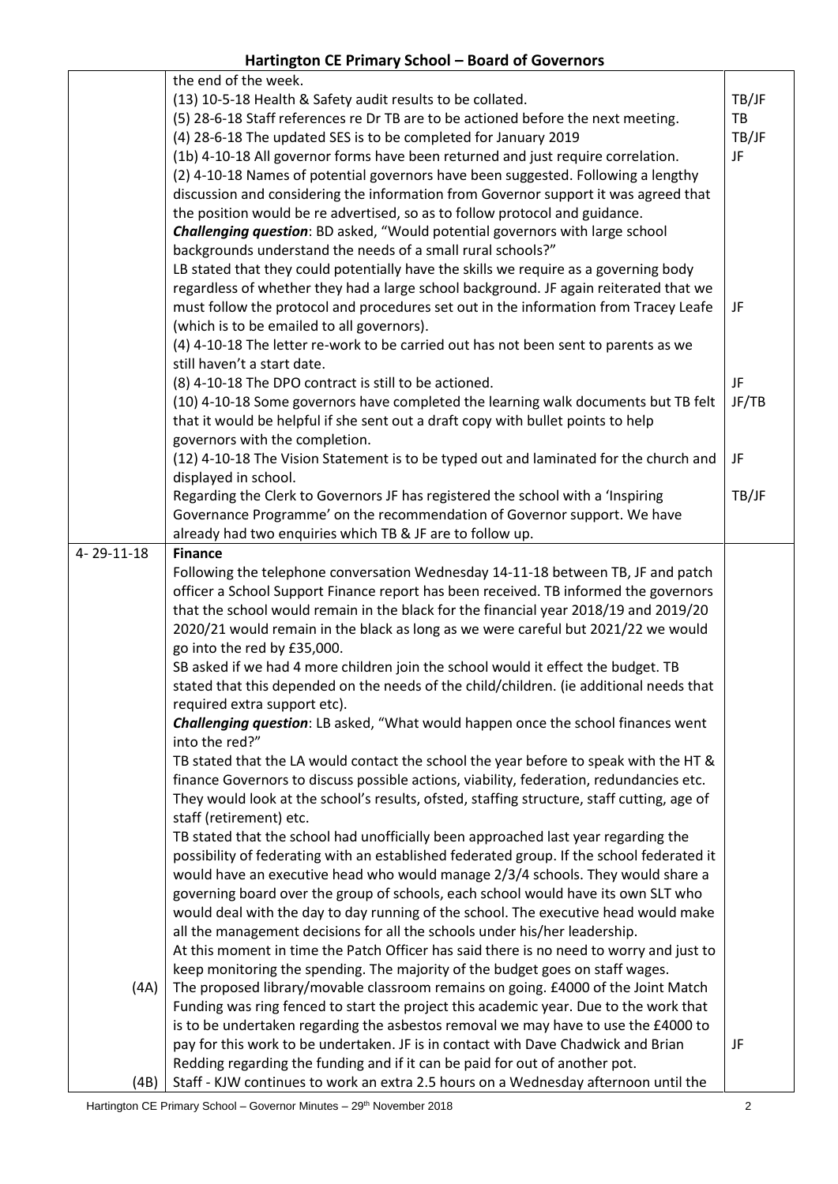**Hartington CE Primary School – Board of Governors**

|            | the end of the week.                                                                       |       |
|------------|--------------------------------------------------------------------------------------------|-------|
|            | (13) 10-5-18 Health & Safety audit results to be collated.                                 | TB/JF |
|            | (5) 28-6-18 Staff references re Dr TB are to be actioned before the next meeting.          | TB    |
|            | (4) 28-6-18 The updated SES is to be completed for January 2019                            | TB/JF |
|            | (1b) 4-10-18 All governor forms have been returned and just require correlation.           | JF    |
|            | (2) 4-10-18 Names of potential governors have been suggested. Following a lengthy          |       |
|            | discussion and considering the information from Governor support it was agreed that        |       |
|            | the position would be re advertised, so as to follow protocol and guidance.                |       |
|            | <b>Challenging question:</b> BD asked, "Would potential governors with large school        |       |
|            | backgrounds understand the needs of a small rural schools?"                                |       |
|            | LB stated that they could potentially have the skills we require as a governing body       |       |
|            | regardless of whether they had a large school background. JF again reiterated that we      |       |
|            | must follow the protocol and procedures set out in the information from Tracey Leafe       | JF    |
|            | (which is to be emailed to all governors).                                                 |       |
|            | (4) 4-10-18 The letter re-work to be carried out has not been sent to parents as we        |       |
|            | still haven't a start date.                                                                |       |
|            | (8) 4-10-18 The DPO contract is still to be actioned.                                      | JF    |
|            | (10) 4-10-18 Some governors have completed the learning walk documents but TB felt         | JF/TB |
|            | that it would be helpful if she sent out a draft copy with bullet points to help           |       |
|            | governors with the completion.                                                             |       |
|            | (12) 4-10-18 The Vision Statement is to be typed out and laminated for the church and      | JF    |
|            | displayed in school.                                                                       |       |
|            |                                                                                            |       |
|            | Regarding the Clerk to Governors JF has registered the school with a 'Inspiring            | TB/JF |
|            | Governance Programme' on the recommendation of Governor support. We have                   |       |
|            | already had two enquiries which TB & JF are to follow up.                                  |       |
| 4-29-11-18 | <b>Finance</b>                                                                             |       |
|            | Following the telephone conversation Wednesday 14-11-18 between TB, JF and patch           |       |
|            | officer a School Support Finance report has been received. TB informed the governors       |       |
|            | that the school would remain in the black for the financial year 2018/19 and 2019/20       |       |
|            | 2020/21 would remain in the black as long as we were careful but 2021/22 we would          |       |
|            | go into the red by £35,000.                                                                |       |
|            | SB asked if we had 4 more children join the school would it effect the budget. TB          |       |
|            | stated that this depended on the needs of the child/children. (ie additional needs that    |       |
|            | required extra support etc).                                                               |       |
|            | <b>Challenging question:</b> LB asked, "What would happen once the school finances went    |       |
|            | into the red?"                                                                             |       |
|            | TB stated that the LA would contact the school the year before to speak with the HT &      |       |
|            | finance Governors to discuss possible actions, viability, federation, redundancies etc.    |       |
|            | They would look at the school's results, ofsted, staffing structure, staff cutting, age of |       |
|            | staff (retirement) etc.                                                                    |       |
|            | TB stated that the school had unofficially been approached last year regarding the         |       |
|            | possibility of federating with an established federated group. If the school federated it  |       |
|            | would have an executive head who would manage 2/3/4 schools. They would share a            |       |
|            | governing board over the group of schools, each school would have its own SLT who          |       |
|            | would deal with the day to day running of the school. The executive head would make        |       |
|            | all the management decisions for all the schools under his/her leadership.                 |       |
|            | At this moment in time the Patch Officer has said there is no need to worry and just to    |       |
|            | keep monitoring the spending. The majority of the budget goes on staff wages.              |       |
| (AA)       | The proposed library/movable classroom remains on going. £4000 of the Joint Match          |       |
|            | Funding was ring fenced to start the project this academic year. Due to the work that      |       |
|            | is to be undertaken regarding the asbestos removal we may have to use the £4000 to         |       |
|            | pay for this work to be undertaken. JF is in contact with Dave Chadwick and Brian          | JF    |
|            | Redding regarding the funding and if it can be paid for out of another pot.                |       |
| (4B)       | Staff - KJW continues to work an extra 2.5 hours on a Wednesday afternoon until the        |       |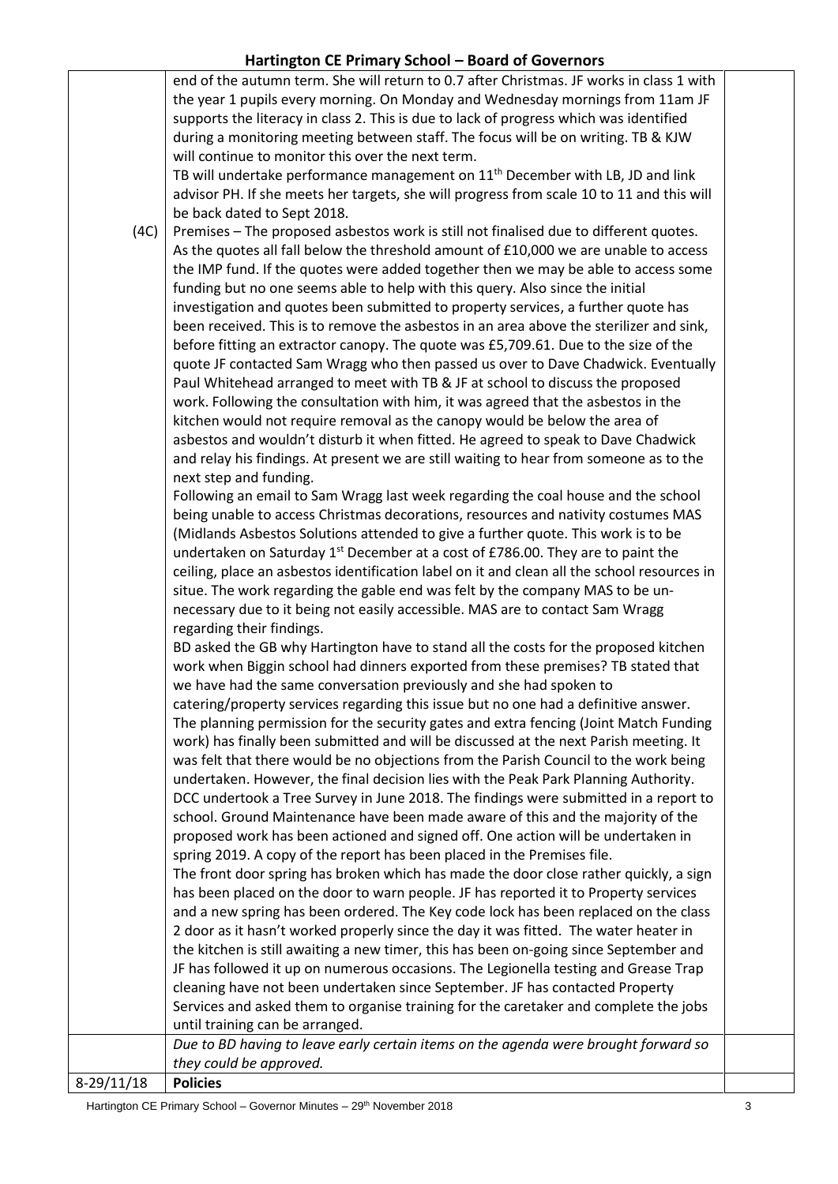|            | end of the autumn term. She will return to 0.7 after Christmas. JF works in class 1 with    |  |
|------------|---------------------------------------------------------------------------------------------|--|
|            | the year 1 pupils every morning. On Monday and Wednesday mornings from 11am JF              |  |
|            | supports the literacy in class 2. This is due to lack of progress which was identified      |  |
|            | during a monitoring meeting between staff. The focus will be on writing. TB & KJW           |  |
|            | will continue to monitor this over the next term.                                           |  |
|            | TB will undertake performance management on 11 <sup>th</sup> December with LB, JD and link  |  |
|            | advisor PH. If she meets her targets, she will progress from scale 10 to 11 and this will   |  |
|            | be back dated to Sept 2018.                                                                 |  |
| (4C)       | Premises - The proposed asbestos work is still not finalised due to different quotes.       |  |
|            | As the quotes all fall below the threshold amount of £10,000 we are unable to access        |  |
|            | the IMP fund. If the quotes were added together then we may be able to access some          |  |
|            | funding but no one seems able to help with this query. Also since the initial               |  |
|            | investigation and quotes been submitted to property services, a further quote has           |  |
|            | been received. This is to remove the asbestos in an area above the sterilizer and sink,     |  |
|            | before fitting an extractor canopy. The quote was £5,709.61. Due to the size of the         |  |
|            | quote JF contacted Sam Wragg who then passed us over to Dave Chadwick. Eventually           |  |
|            | Paul Whitehead arranged to meet with TB & JF at school to discuss the proposed              |  |
|            | work. Following the consultation with him, it was agreed that the asbestos in the           |  |
|            | kitchen would not require removal as the canopy would be below the area of                  |  |
|            | asbestos and wouldn't disturb it when fitted. He agreed to speak to Dave Chadwick           |  |
|            | and relay his findings. At present we are still waiting to hear from someone as to the      |  |
|            | next step and funding.                                                                      |  |
|            | Following an email to Sam Wragg last week regarding the coal house and the school           |  |
|            | being unable to access Christmas decorations, resources and nativity costumes MAS           |  |
|            | (Midlands Asbestos Solutions attended to give a further quote. This work is to be           |  |
|            | undertaken on Saturday 1 <sup>st</sup> December at a cost of £786.00. They are to paint the |  |
|            | ceiling, place an asbestos identification label on it and clean all the school resources in |  |
|            | situe. The work regarding the gable end was felt by the company MAS to be un-               |  |
|            | necessary due to it being not easily accessible. MAS are to contact Sam Wragg               |  |
|            | regarding their findings.                                                                   |  |
|            | BD asked the GB why Hartington have to stand all the costs for the proposed kitchen         |  |
|            | work when Biggin school had dinners exported from these premises? TB stated that            |  |
|            | we have had the same conversation previously and she had spoken to                          |  |
|            | catering/property services regarding this issue but no one had a definitive answer.         |  |
|            | The planning permission for the security gates and extra fencing (Joint Match Funding       |  |
|            | work) has finally been submitted and will be discussed at the next Parish meeting. It       |  |
|            | was felt that there would be no objections from the Parish Council to the work being        |  |
|            | undertaken. However, the final decision lies with the Peak Park Planning Authority.         |  |
|            | DCC undertook a Tree Survey in June 2018. The findings were submitted in a report to        |  |
|            | school. Ground Maintenance have been made aware of this and the majority of the             |  |
|            | proposed work has been actioned and signed off. One action will be undertaken in            |  |
|            | spring 2019. A copy of the report has been placed in the Premises file.                     |  |
|            | The front door spring has broken which has made the door close rather quickly, a sign       |  |
|            | has been placed on the door to warn people. JF has reported it to Property services         |  |
|            | and a new spring has been ordered. The Key code lock has been replaced on the class         |  |
|            | 2 door as it hasn't worked properly since the day it was fitted. The water heater in        |  |
|            | the kitchen is still awaiting a new timer, this has been on-going since September and       |  |
|            | JF has followed it up on numerous occasions. The Legionella testing and Grease Trap         |  |
|            | cleaning have not been undertaken since September. JF has contacted Property                |  |
|            | Services and asked them to organise training for the caretaker and complete the jobs        |  |
|            | until training can be arranged.                                                             |  |
|            | Due to BD having to leave early certain items on the agenda were brought forward so         |  |
|            | they could be approved.                                                                     |  |
| 8-29/11/18 | <b>Policies</b>                                                                             |  |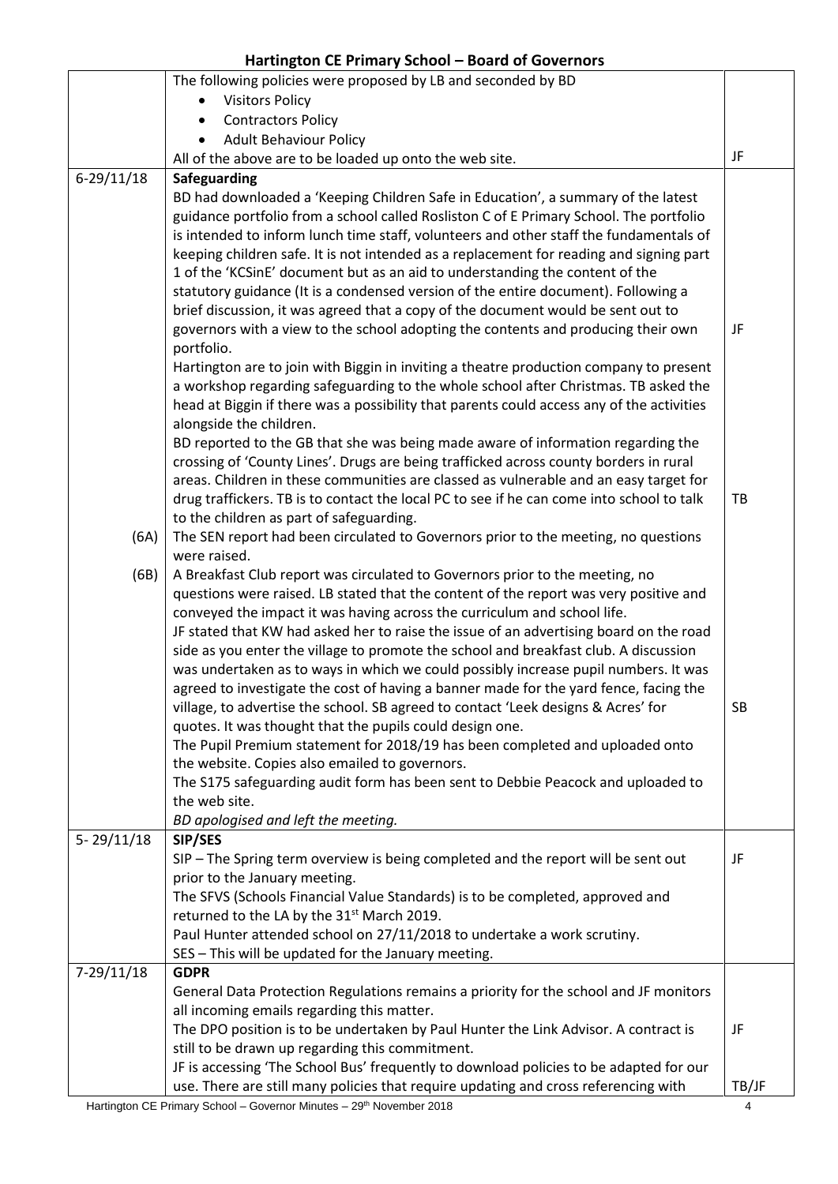|                | The following policies were proposed by LB and seconded by BD                             |       |
|----------------|-------------------------------------------------------------------------------------------|-------|
|                | <b>Visitors Policy</b>                                                                    |       |
|                | <b>Contractors Policy</b><br>$\bullet$                                                    |       |
|                | <b>Adult Behaviour Policy</b>                                                             |       |
|                | All of the above are to be loaded up onto the web site.                                   | JF    |
| $6 - 29/11/18$ | Safeguarding                                                                              |       |
|                | BD had downloaded a 'Keeping Children Safe in Education', a summary of the latest         |       |
|                | guidance portfolio from a school called Rosliston C of E Primary School. The portfolio    |       |
|                | is intended to inform lunch time staff, volunteers and other staff the fundamentals of    |       |
|                | keeping children safe. It is not intended as a replacement for reading and signing part   |       |
|                | 1 of the 'KCSinE' document but as an aid to understanding the content of the              |       |
|                | statutory guidance (It is a condensed version of the entire document). Following a        |       |
|                | brief discussion, it was agreed that a copy of the document would be sent out to          |       |
|                | governors with a view to the school adopting the contents and producing their own         | JF    |
|                | portfolio.                                                                                |       |
|                | Hartington are to join with Biggin in inviting a theatre production company to present    |       |
|                | a workshop regarding safeguarding to the whole school after Christmas. TB asked the       |       |
|                | head at Biggin if there was a possibility that parents could access any of the activities |       |
|                | alongside the children.                                                                   |       |
|                | BD reported to the GB that she was being made aware of information regarding the          |       |
|                | crossing of 'County Lines'. Drugs are being trafficked across county borders in rural     |       |
|                | areas. Children in these communities are classed as vulnerable and an easy target for     |       |
|                | drug traffickers. TB is to contact the local PC to see if he can come into school to talk | TB    |
|                | to the children as part of safeguarding.                                                  |       |
| (6A)           | The SEN report had been circulated to Governors prior to the meeting, no questions        |       |
|                | were raised.                                                                              |       |
| (6B)           | A Breakfast Club report was circulated to Governors prior to the meeting, no              |       |
|                | questions were raised. LB stated that the content of the report was very positive and     |       |
|                | conveyed the impact it was having across the curriculum and school life.                  |       |
|                | JF stated that KW had asked her to raise the issue of an advertising board on the road    |       |
|                | side as you enter the village to promote the school and breakfast club. A discussion      |       |
|                | was undertaken as to ways in which we could possibly increase pupil numbers. It was       |       |
|                | agreed to investigate the cost of having a banner made for the yard fence, facing the     |       |
|                | village, to advertise the school. SB agreed to contact 'Leek designs & Acres' for         | SB    |
|                | quotes. It was thought that the pupils could design one.                                  |       |
|                | The Pupil Premium statement for 2018/19 has been completed and uploaded onto              |       |
|                | the website. Copies also emailed to governors.                                            |       |
|                | The S175 safeguarding audit form has been sent to Debbie Peacock and uploaded to          |       |
|                | the web site.                                                                             |       |
|                | BD apologised and left the meeting.                                                       |       |
| $5 - 29/11/18$ | SIP/SES                                                                                   |       |
|                | SIP - The Spring term overview is being completed and the report will be sent out         | JF    |
|                | prior to the January meeting.                                                             |       |
|                | The SFVS (Schools Financial Value Standards) is to be completed, approved and             |       |
|                | returned to the LA by the 31 <sup>st</sup> March 2019.                                    |       |
|                | Paul Hunter attended school on 27/11/2018 to undertake a work scrutiny.                   |       |
|                | SES - This will be updated for the January meeting.                                       |       |
| $7-29/11/18$   | <b>GDPR</b>                                                                               |       |
|                | General Data Protection Regulations remains a priority for the school and JF monitors     |       |
|                | all incoming emails regarding this matter.                                                |       |
|                | The DPO position is to be undertaken by Paul Hunter the Link Advisor. A contract is       | JF    |
|                | still to be drawn up regarding this commitment.                                           |       |
|                | JF is accessing 'The School Bus' frequently to download policies to be adapted for our    |       |
|                | use. There are still many policies that require updating and cross referencing with       | TB/JF |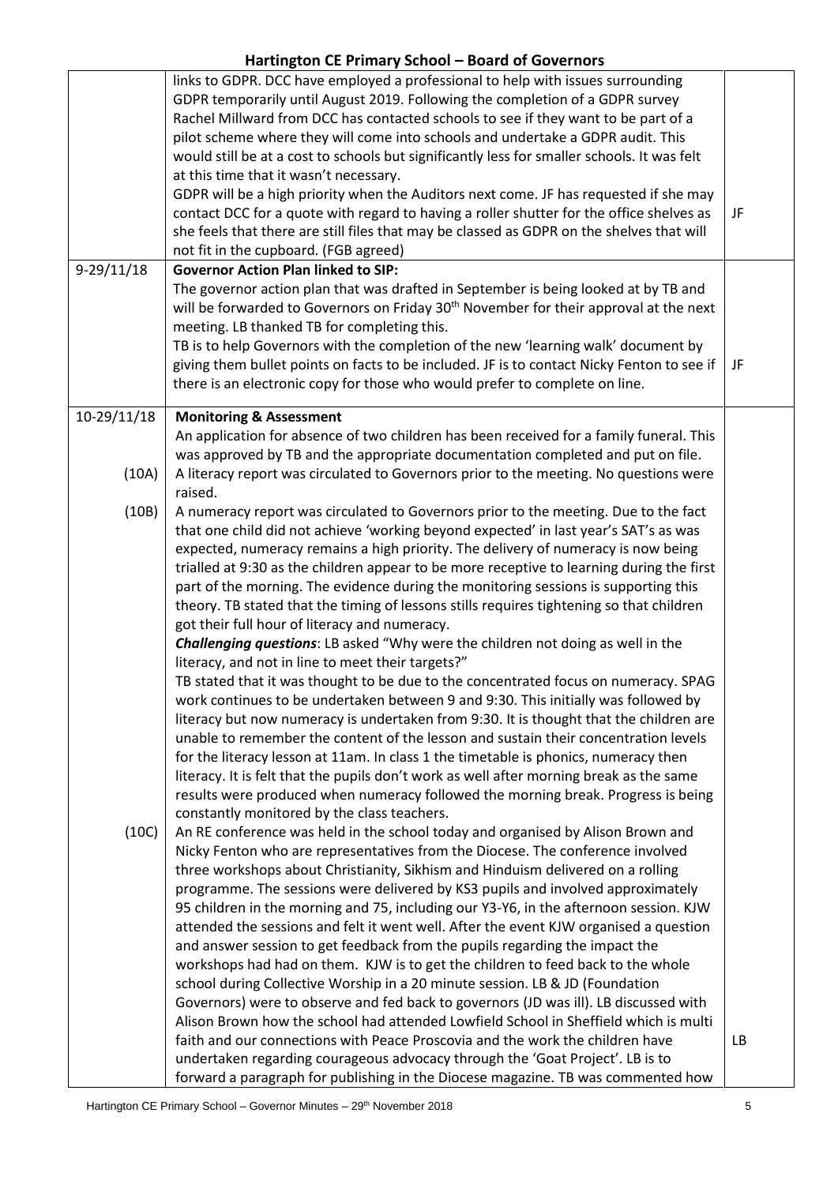|                      | links to GDPR. DCC have employed a professional to help with issues surrounding<br>GDPR temporarily until August 2019. Following the completion of a GDPR survey<br>Rachel Millward from DCC has contacted schools to see if they want to be part of a<br>pilot scheme where they will come into schools and undertake a GDPR audit. This<br>would still be at a cost to schools but significantly less for smaller schools. It was felt<br>at this time that it wasn't necessary.<br>GDPR will be a high priority when the Auditors next come. JF has requested if she may<br>contact DCC for a quote with regard to having a roller shutter for the office shelves as                                                                                                                                                                                                                                                                                                                                                                                                                                                                                                                                                                                                                                                                                                                                                                                                                                                                                                                                                                                                                                                                                                                                                                                                                                                                            | JF        |
|----------------------|----------------------------------------------------------------------------------------------------------------------------------------------------------------------------------------------------------------------------------------------------------------------------------------------------------------------------------------------------------------------------------------------------------------------------------------------------------------------------------------------------------------------------------------------------------------------------------------------------------------------------------------------------------------------------------------------------------------------------------------------------------------------------------------------------------------------------------------------------------------------------------------------------------------------------------------------------------------------------------------------------------------------------------------------------------------------------------------------------------------------------------------------------------------------------------------------------------------------------------------------------------------------------------------------------------------------------------------------------------------------------------------------------------------------------------------------------------------------------------------------------------------------------------------------------------------------------------------------------------------------------------------------------------------------------------------------------------------------------------------------------------------------------------------------------------------------------------------------------------------------------------------------------------------------------------------------------|-----------|
|                      | she feels that there are still files that may be classed as GDPR on the shelves that will                                                                                                                                                                                                                                                                                                                                                                                                                                                                                                                                                                                                                                                                                                                                                                                                                                                                                                                                                                                                                                                                                                                                                                                                                                                                                                                                                                                                                                                                                                                                                                                                                                                                                                                                                                                                                                                          |           |
| $9-29/11/18$         | not fit in the cupboard. (FGB agreed)<br><b>Governor Action Plan linked to SIP:</b>                                                                                                                                                                                                                                                                                                                                                                                                                                                                                                                                                                                                                                                                                                                                                                                                                                                                                                                                                                                                                                                                                                                                                                                                                                                                                                                                                                                                                                                                                                                                                                                                                                                                                                                                                                                                                                                                |           |
|                      | The governor action plan that was drafted in September is being looked at by TB and<br>will be forwarded to Governors on Friday 30 <sup>th</sup> November for their approval at the next<br>meeting. LB thanked TB for completing this.<br>TB is to help Governors with the completion of the new 'learning walk' document by<br>giving them bullet points on facts to be included. JF is to contact Nicky Fenton to see if<br>there is an electronic copy for those who would prefer to complete on line.                                                                                                                                                                                                                                                                                                                                                                                                                                                                                                                                                                                                                                                                                                                                                                                                                                                                                                                                                                                                                                                                                                                                                                                                                                                                                                                                                                                                                                         | JF        |
|                      |                                                                                                                                                                                                                                                                                                                                                                                                                                                                                                                                                                                                                                                                                                                                                                                                                                                                                                                                                                                                                                                                                                                                                                                                                                                                                                                                                                                                                                                                                                                                                                                                                                                                                                                                                                                                                                                                                                                                                    |           |
| 10-29/11/18<br>(10A) | <b>Monitoring &amp; Assessment</b><br>An application for absence of two children has been received for a family funeral. This<br>was approved by TB and the appropriate documentation completed and put on file.<br>A literacy report was circulated to Governors prior to the meeting. No questions were                                                                                                                                                                                                                                                                                                                                                                                                                                                                                                                                                                                                                                                                                                                                                                                                                                                                                                                                                                                                                                                                                                                                                                                                                                                                                                                                                                                                                                                                                                                                                                                                                                          |           |
| (10B)                | raised.<br>A numeracy report was circulated to Governors prior to the meeting. Due to the fact                                                                                                                                                                                                                                                                                                                                                                                                                                                                                                                                                                                                                                                                                                                                                                                                                                                                                                                                                                                                                                                                                                                                                                                                                                                                                                                                                                                                                                                                                                                                                                                                                                                                                                                                                                                                                                                     |           |
| (10C)                | that one child did not achieve 'working beyond expected' in last year's SAT's as was<br>expected, numeracy remains a high priority. The delivery of numeracy is now being<br>trialled at 9:30 as the children appear to be more receptive to learning during the first<br>part of the morning. The evidence during the monitoring sessions is supporting this<br>theory. TB stated that the timing of lessons stills requires tightening so that children<br>got their full hour of literacy and numeracy.<br>Challenging questions: LB asked "Why were the children not doing as well in the<br>literacy, and not in line to meet their targets?"<br>TB stated that it was thought to be due to the concentrated focus on numeracy. SPAG<br>work continues to be undertaken between 9 and 9:30. This initially was followed by<br>literacy but now numeracy is undertaken from 9:30. It is thought that the children are<br>unable to remember the content of the lesson and sustain their concentration levels<br>for the literacy lesson at 11am. In class 1 the timetable is phonics, numeracy then<br>literacy. It is felt that the pupils don't work as well after morning break as the same<br>results were produced when numeracy followed the morning break. Progress is being<br>constantly monitored by the class teachers.<br>An RE conference was held in the school today and organised by Alison Brown and<br>Nicky Fenton who are representatives from the Diocese. The conference involved<br>three workshops about Christianity, Sikhism and Hinduism delivered on a rolling<br>programme. The sessions were delivered by KS3 pupils and involved approximately<br>95 children in the morning and 75, including our Y3-Y6, in the afternoon session. KJW<br>attended the sessions and felt it went well. After the event KJW organised a question<br>and answer session to get feedback from the pupils regarding the impact the |           |
|                      | workshops had had on them. KJW is to get the children to feed back to the whole<br>school during Collective Worship in a 20 minute session. LB & JD (Foundation<br>Governors) were to observe and fed back to governors (JD was ill). LB discussed with<br>Alison Brown how the school had attended Lowfield School in Sheffield which is multi<br>faith and our connections with Peace Proscovia and the work the children have<br>undertaken regarding courageous advocacy through the 'Goat Project'. LB is to<br>forward a paragraph for publishing in the Diocese magazine. TB was commented how                                                                                                                                                                                                                                                                                                                                                                                                                                                                                                                                                                                                                                                                                                                                                                                                                                                                                                                                                                                                                                                                                                                                                                                                                                                                                                                                              | <b>LB</b> |